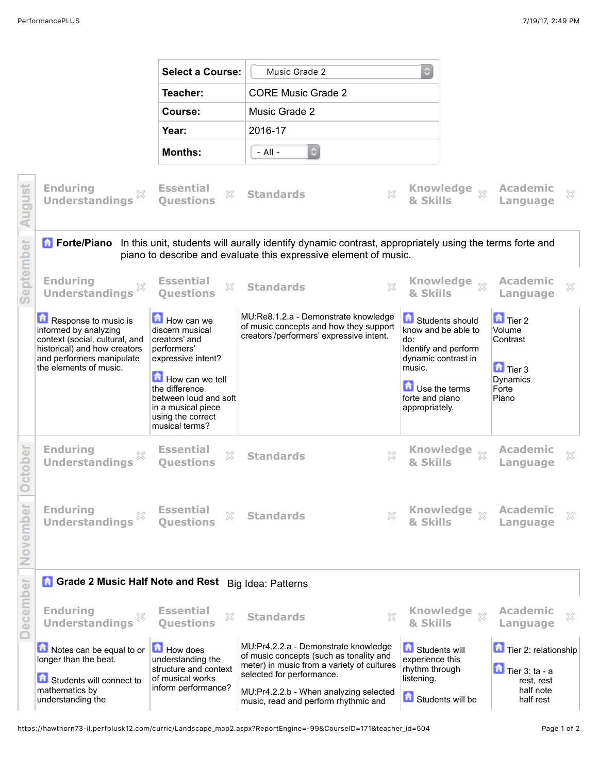